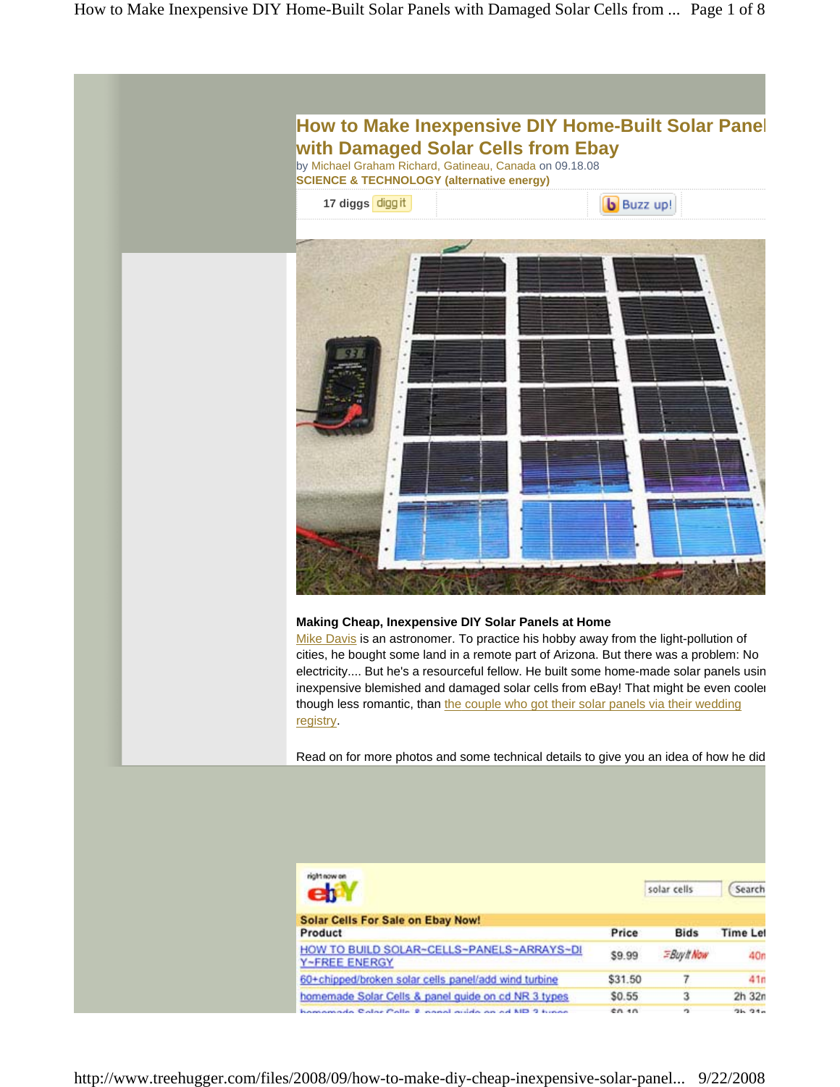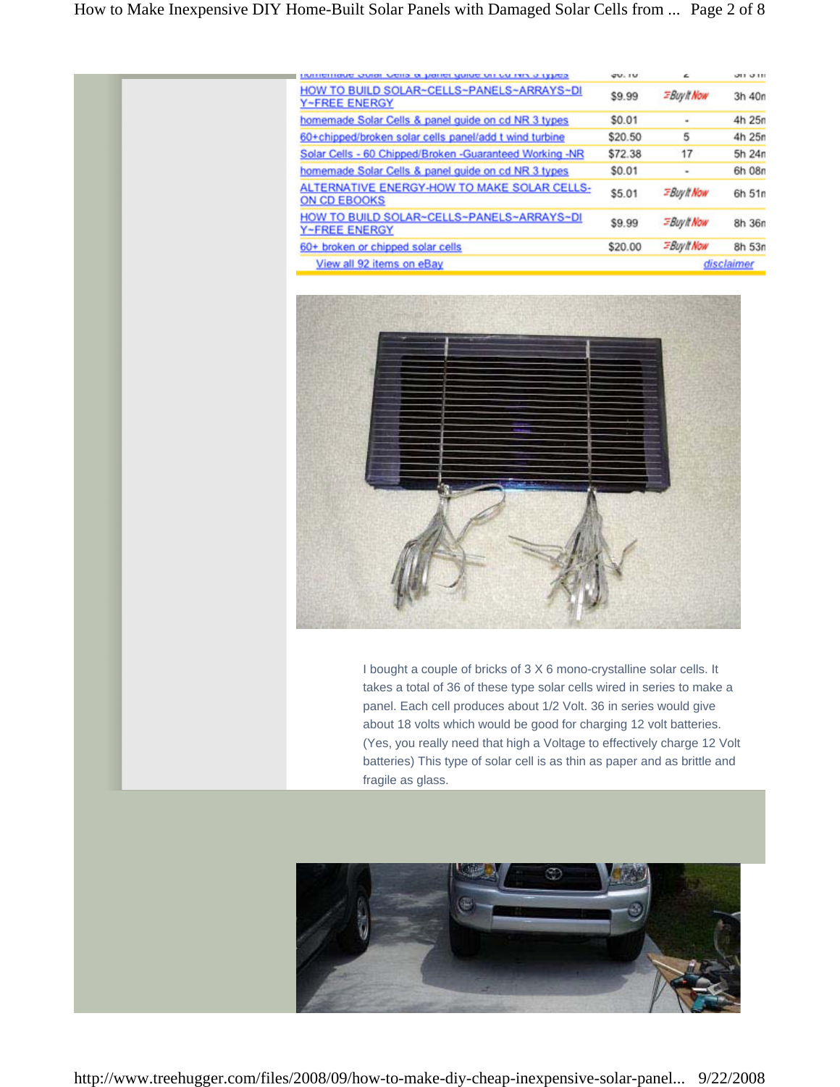|                                                                    | JU. IU  | £                  | <b>UILUIL</b> |
|--------------------------------------------------------------------|---------|--------------------|---------------|
| HOW TO BUILD SOLAR~CELLS~PANELS~ARRAYS~DI<br><b>Y-FREE ENERGY</b>  | \$9.99  | <b>EBuy It Now</b> | 3h 40n        |
| homemade Solar Cells & panel quide on cd NR 3 types                | \$0.01  | ۰                  | 4h 25n        |
| 60+chipped/broken solar cells panel/add t wind turbine             | \$20.50 | 5                  | 4h 25n        |
| Solar Cells - 60 Chipped/Broken -Guaranteed Working -NR            | \$72.38 | 17                 | 5h 24n        |
| homemade Solar Cells & panel quide on cd NR 3 types                | \$0.01  | ٠                  | 6h 08n        |
| ALTERNATIVE ENERGY-HOW TO MAKE SOLAR CELLS-<br><b>ON CD EBOOKS</b> | \$5.01  | <b>EBuy It Now</b> | 6h 51n        |
| HOW TO BUILD SOLAR~CELLS~PANELS~ARRAYS~DI<br><b>Y-FREE ENERGY</b>  | \$9.99  | <b>EBuy It Now</b> | 8h 36n        |
| 60+ broken or chipped solar cells                                  | \$20.00 | <b>EBuy It Now</b> | 8h 53n        |
| View all 92 items on eBay                                          |         |                    | disclaimer    |



I bought a couple of bricks of 3 X 6 mono-crystalline solar cells. It takes a total of 36 of these type solar cells wired in series to make a panel. Each cell produces about 1/2 Volt. 36 in series would give about 18 volts which would be good for charging 12 volt batteries. (Yes, you really need that high a Voltage to effectively charge 12 Volt batteries) This type of solar cell is as thin as paper and as brittle and fragile as glass.



http://www.treehugger.com/files/2008/09/how-to-make-diy-cheap-inexpensive-solar-panel... 9/22/2008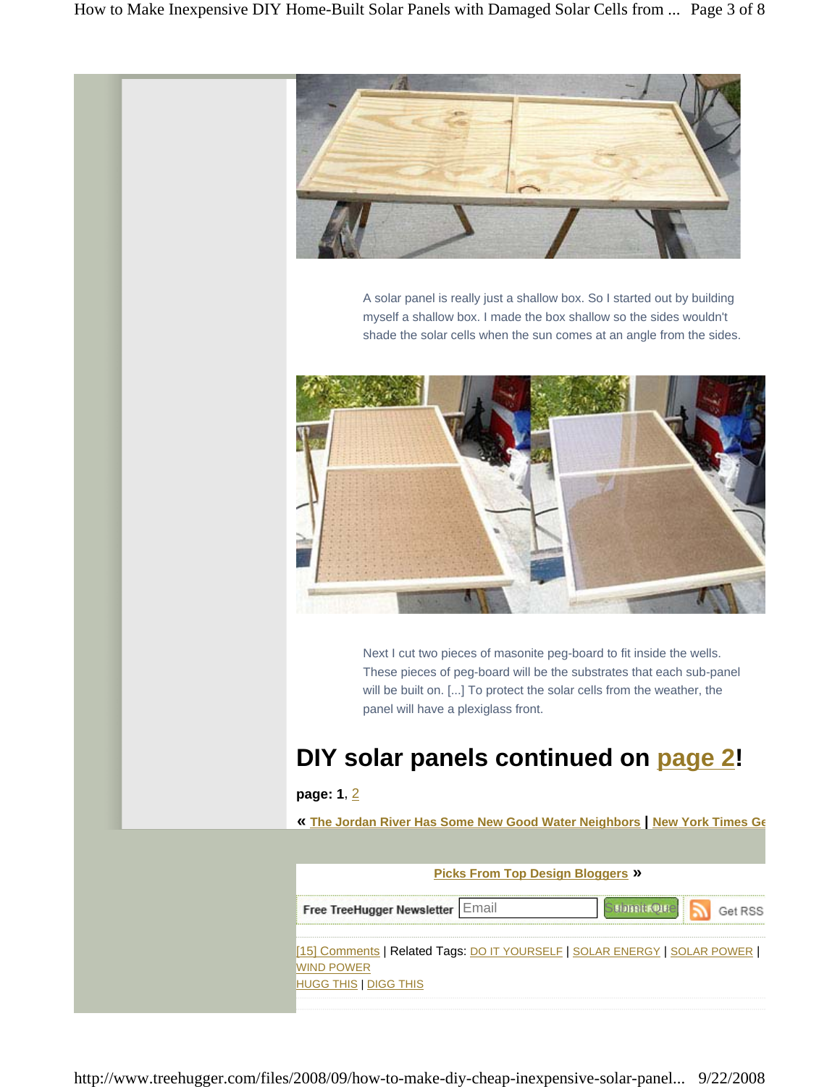

A solar panel is really just a shallow box. So I started out by building myself a shallow box. I made the box shallow so the sides wouldn't shade the solar cells when the sun comes at an angle from the sides.



Next I cut two pieces of masonite peg-board to fit inside the wells. These pieces of peg-board will be the substrates that each sub-panel will be built on. [...] To protect the solar cells from the weather, the panel will have a plexiglass front.

## **DIY solar panels continued on page 2!**

## **page: 1**, 2

**« The Jordan River Has Some New Good Water Neighbors | New York Times Ge**

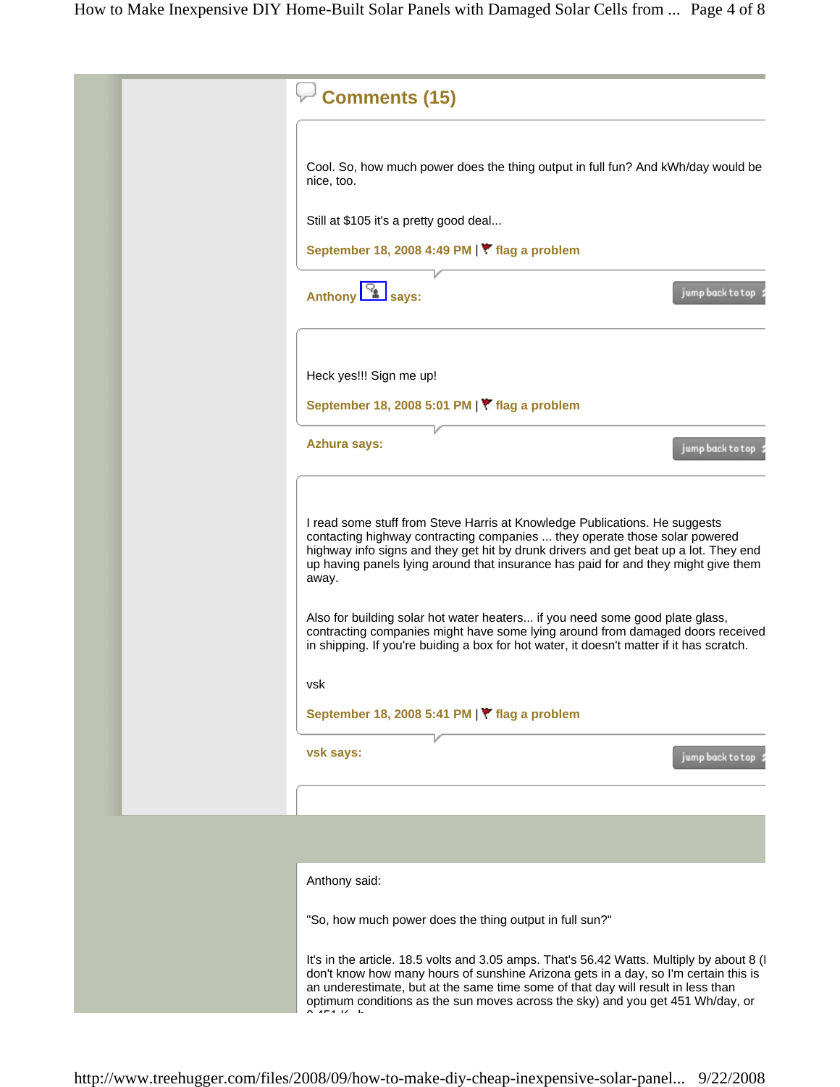| Comments (15)                                                                                                                                                                                                                                                                                                                                                                                                                                                                                                                                                                                                                                                                                          |
|--------------------------------------------------------------------------------------------------------------------------------------------------------------------------------------------------------------------------------------------------------------------------------------------------------------------------------------------------------------------------------------------------------------------------------------------------------------------------------------------------------------------------------------------------------------------------------------------------------------------------------------------------------------------------------------------------------|
| Cool. So, how much power does the thing output in full fun? And kWh/day would be<br>nice, too.                                                                                                                                                                                                                                                                                                                                                                                                                                                                                                                                                                                                         |
| Still at \$105 it's a pretty good deal                                                                                                                                                                                                                                                                                                                                                                                                                                                                                                                                                                                                                                                                 |
| September 18, 2008 4:49 PM   ₹ flag a problem                                                                                                                                                                                                                                                                                                                                                                                                                                                                                                                                                                                                                                                          |
| Anthony $\boxed{\mathcal{A}}$ says:<br>jump back to top                                                                                                                                                                                                                                                                                                                                                                                                                                                                                                                                                                                                                                                |
| Heck yes!!! Sign me up!                                                                                                                                                                                                                                                                                                                                                                                                                                                                                                                                                                                                                                                                                |
| September 18, 2008 5:01 PM   ₹ flag a problem                                                                                                                                                                                                                                                                                                                                                                                                                                                                                                                                                                                                                                                          |
| <b>Azhura says:</b><br>jump back to top                                                                                                                                                                                                                                                                                                                                                                                                                                                                                                                                                                                                                                                                |
| I read some stuff from Steve Harris at Knowledge Publications. He suggests<br>contacting highway contracting companies  they operate those solar powered<br>highway info signs and they get hit by drunk drivers and get beat up a lot. They end<br>up having panels lying around that insurance has paid for and they might give them<br>away.<br>Also for building solar hot water heaters if you need some good plate glass,<br>contracting companies might have some lying around from damaged doors received<br>in shipping. If you're buiding a box for hot water, it doesn't matter if it has scratch.<br>vsk<br>September 18, 2008 5:41 PM   ₹ flag a problem<br>vsk says:<br>jump back to top |
|                                                                                                                                                                                                                                                                                                                                                                                                                                                                                                                                                                                                                                                                                                        |
|                                                                                                                                                                                                                                                                                                                                                                                                                                                                                                                                                                                                                                                                                                        |
|                                                                                                                                                                                                                                                                                                                                                                                                                                                                                                                                                                                                                                                                                                        |
| Anthony said:                                                                                                                                                                                                                                                                                                                                                                                                                                                                                                                                                                                                                                                                                          |
| "So, how much power does the thing output in full sun?"                                                                                                                                                                                                                                                                                                                                                                                                                                                                                                                                                                                                                                                |
| It's in the article. 18.5 volts and 3.05 amps. That's 56.42 Watts. Multiply by about 8 (I<br>don't know how many hours of sunshine Arizona gets in a day, so I'm certain this is<br>an underestimate, but at the same time some of that day will result in less than<br>optimum conditions as the sun moves across the sky) and you get 451 Wh/day, or                                                                                                                                                                                                                                                                                                                                                 |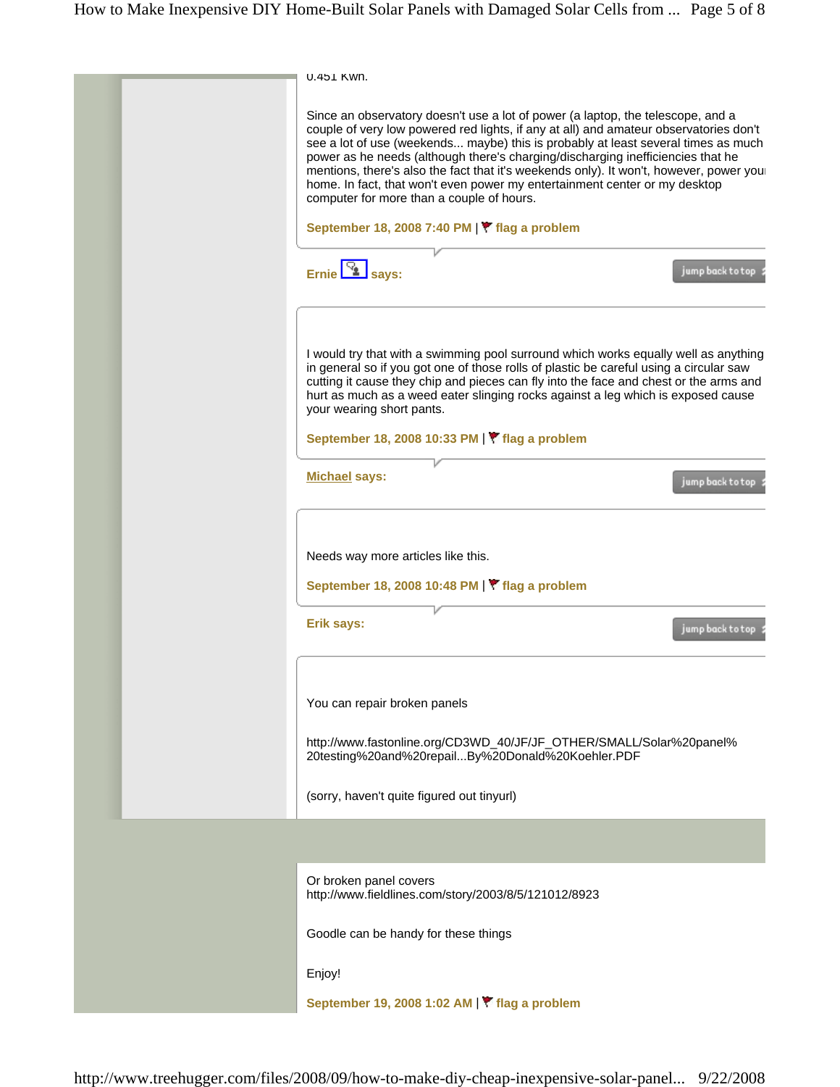| <b>U.451 KWN.</b>                                                                                                                                                                                                                                                                                                                                                                                                                                                                                                                                                     |  |  |
|-----------------------------------------------------------------------------------------------------------------------------------------------------------------------------------------------------------------------------------------------------------------------------------------------------------------------------------------------------------------------------------------------------------------------------------------------------------------------------------------------------------------------------------------------------------------------|--|--|
|                                                                                                                                                                                                                                                                                                                                                                                                                                                                                                                                                                       |  |  |
| Since an observatory doesn't use a lot of power (a laptop, the telescope, and a<br>couple of very low powered red lights, if any at all) and amateur observatories don't<br>see a lot of use (weekends maybe) this is probably at least several times as much<br>power as he needs (although there's charging/discharging inefficiencies that he<br>mentions, there's also the fact that it's weekends only). It won't, however, power you<br>home. In fact, that won't even power my entertainment center or my desktop<br>computer for more than a couple of hours. |  |  |
| September 18, 2008 7:40 PM   1 flag a problem                                                                                                                                                                                                                                                                                                                                                                                                                                                                                                                         |  |  |
| Ernie $\frac{Q_1}{2}$ says:<br>jump back to top                                                                                                                                                                                                                                                                                                                                                                                                                                                                                                                       |  |  |
|                                                                                                                                                                                                                                                                                                                                                                                                                                                                                                                                                                       |  |  |
| I would try that with a swimming pool surround which works equally well as anything<br>in general so if you got one of those rolls of plastic be careful using a circular saw<br>cutting it cause they chip and pieces can fly into the face and chest or the arms and<br>hurt as much as a weed eater slinging rocks against a leg which is exposed cause<br>your wearing short pants.                                                                                                                                                                               |  |  |
| September 18, 2008 10:33 PM   ₹ flag a problem                                                                                                                                                                                                                                                                                                                                                                                                                                                                                                                        |  |  |
| <b>Michael says:</b><br>jump back to top                                                                                                                                                                                                                                                                                                                                                                                                                                                                                                                              |  |  |
| Needs way more articles like this.<br>September 18, 2008 10:48 PM   * flag a problem                                                                                                                                                                                                                                                                                                                                                                                                                                                                                  |  |  |
| Erik says:<br>jump back to top                                                                                                                                                                                                                                                                                                                                                                                                                                                                                                                                        |  |  |
|                                                                                                                                                                                                                                                                                                                                                                                                                                                                                                                                                                       |  |  |
|                                                                                                                                                                                                                                                                                                                                                                                                                                                                                                                                                                       |  |  |
| You can repair broken panels                                                                                                                                                                                                                                                                                                                                                                                                                                                                                                                                          |  |  |
| http://www.fastonline.org/CD3WD_40/JF/JF_OTHER/SMALL/Solar%20panel%<br>20testing%20and%20repailBy%20Donald%20Koehler.PDF                                                                                                                                                                                                                                                                                                                                                                                                                                              |  |  |
| (sorry, haven't quite figured out tinyurl)                                                                                                                                                                                                                                                                                                                                                                                                                                                                                                                            |  |  |
|                                                                                                                                                                                                                                                                                                                                                                                                                                                                                                                                                                       |  |  |
| Or broken panel covers<br>http://www.fieldlines.com/story/2003/8/5/121012/8923                                                                                                                                                                                                                                                                                                                                                                                                                                                                                        |  |  |
| Goodle can be handy for these things                                                                                                                                                                                                                                                                                                                                                                                                                                                                                                                                  |  |  |
| Enjoy!                                                                                                                                                                                                                                                                                                                                                                                                                                                                                                                                                                |  |  |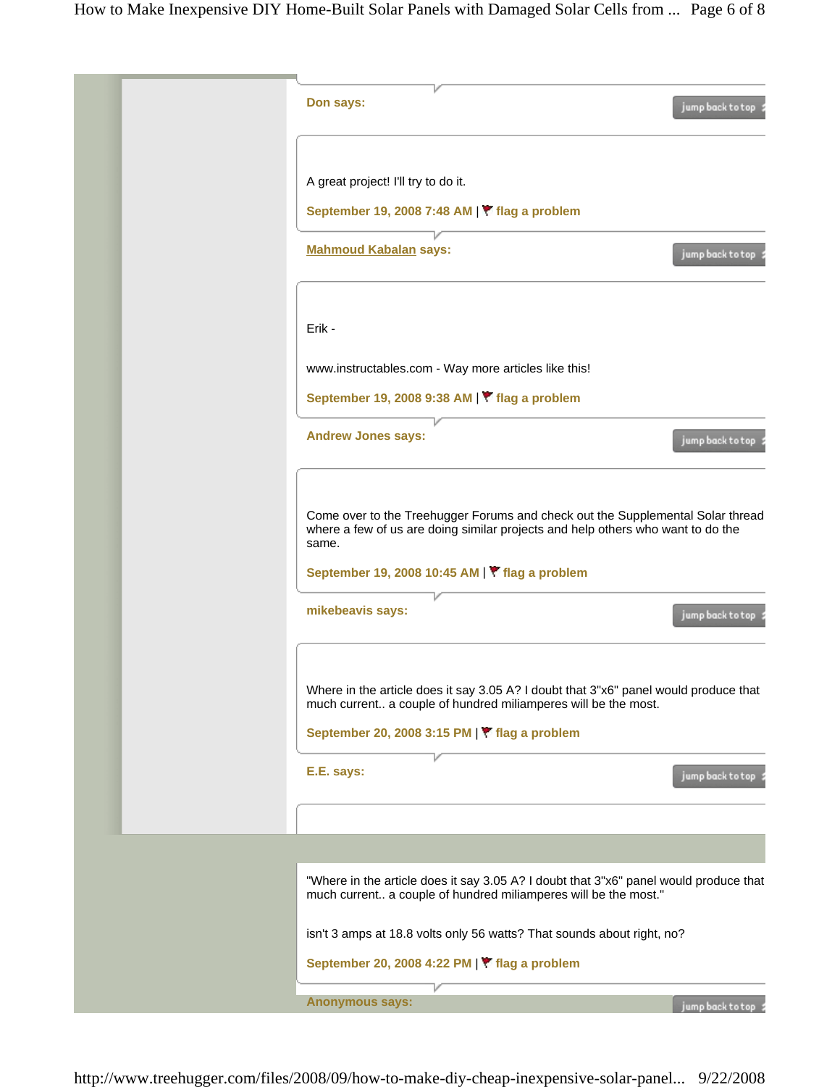|  | Don says:                                                                            |                                                                                                                                                                   | jump back to top |
|--|--------------------------------------------------------------------------------------|-------------------------------------------------------------------------------------------------------------------------------------------------------------------|------------------|
|  | A great project! I'll try to do it.<br>September 19, 2008 7:48 AM   1 flag a problem |                                                                                                                                                                   |                  |
|  | <b>Mahmoud Kabalan says:</b>                                                         |                                                                                                                                                                   | jump back to top |
|  | Erik -                                                                               |                                                                                                                                                                   |                  |
|  | www.instructables.com - Way more articles like this!                                 |                                                                                                                                                                   |                  |
|  | September 19, 2008 9:38 AM   ₹ flag a problem                                        |                                                                                                                                                                   |                  |
|  | <b>Andrew Jones says:</b>                                                            |                                                                                                                                                                   | jump back to top |
|  | same.                                                                                | Come over to the Treehugger Forums and check out the Supplemental Solar thread<br>where a few of us are doing similar projects and help others who want to do the |                  |
|  | September 19, 2008 10:45 AM   ₹ flag a problem                                       |                                                                                                                                                                   |                  |
|  | mikebeavis says:                                                                     |                                                                                                                                                                   | jump back to top |
|  | September 20, 2008 3:15 PM   ₹ flag a problem                                        | Where in the article does it say 3.05 A? I doubt that 3"x6" panel would produce that<br>much current a couple of hundred miliamperes will be the most.            |                  |
|  | E.E. says:                                                                           |                                                                                                                                                                   | jump back to top |
|  |                                                                                      |                                                                                                                                                                   |                  |
|  |                                                                                      |                                                                                                                                                                   |                  |
|  |                                                                                      | "Where in the article does it say 3.05 A? I doubt that 3"x6" panel would produce that<br>much current a couple of hundred miliamperes will be the most."          |                  |
|  | September 20, 2008 4:22 PM   ₹ flag a problem                                        | isn't 3 amps at 18.8 volts only 56 watts? That sounds about right, no?                                                                                            |                  |
|  |                                                                                      |                                                                                                                                                                   |                  |
|  | <b>Anonymous says:</b>                                                               |                                                                                                                                                                   | jump back to top |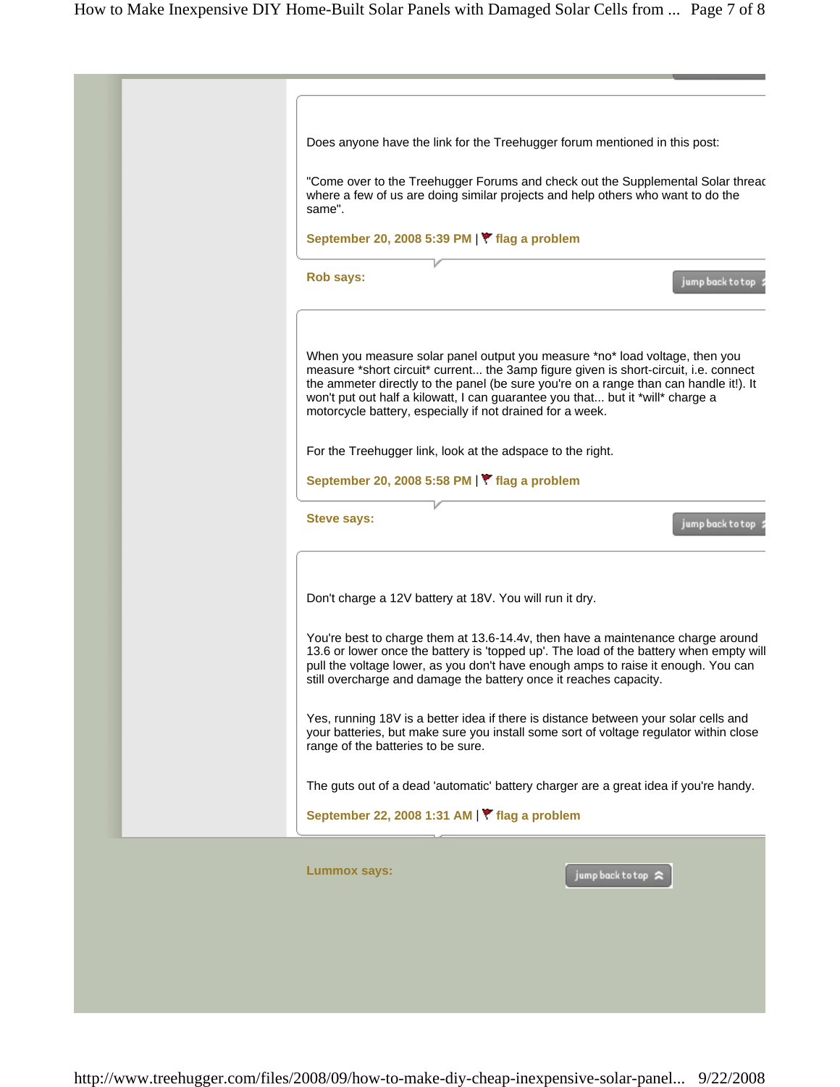| Does anyone have the link for the Treehugger forum mentioned in this post:                                                                                                                                                                                                                                                                                                                                                                                                                                                                                                                                                                                                                                                                                    |
|---------------------------------------------------------------------------------------------------------------------------------------------------------------------------------------------------------------------------------------------------------------------------------------------------------------------------------------------------------------------------------------------------------------------------------------------------------------------------------------------------------------------------------------------------------------------------------------------------------------------------------------------------------------------------------------------------------------------------------------------------------------|
| "Come over to the Treehugger Forums and check out the Supplemental Solar threac<br>where a few of us are doing similar projects and help others who want to do the<br>same".                                                                                                                                                                                                                                                                                                                                                                                                                                                                                                                                                                                  |
| September 20, 2008 5:39 PM   ₹ flag a problem                                                                                                                                                                                                                                                                                                                                                                                                                                                                                                                                                                                                                                                                                                                 |
| <b>Rob says:</b><br>jump back to top                                                                                                                                                                                                                                                                                                                                                                                                                                                                                                                                                                                                                                                                                                                          |
| When you measure solar panel output you measure *no* load voltage, then you<br>measure *short circuit* current the 3amp figure given is short-circuit, i.e. connect<br>the ammeter directly to the panel (be sure you're on a range than can handle it!). It<br>won't put out half a kilowatt, I can guarantee you that but it *will* charge a<br>motorcycle battery, especially if not drained for a week.                                                                                                                                                                                                                                                                                                                                                   |
| For the Treehugger link, look at the adspace to the right.                                                                                                                                                                                                                                                                                                                                                                                                                                                                                                                                                                                                                                                                                                    |
| September 20, 2008 5:58 PM   ₹ flag a problem                                                                                                                                                                                                                                                                                                                                                                                                                                                                                                                                                                                                                                                                                                                 |
| <b>Steve says:</b><br>jump back to top                                                                                                                                                                                                                                                                                                                                                                                                                                                                                                                                                                                                                                                                                                                        |
| Don't charge a 12V battery at 18V. You will run it dry.<br>You're best to charge them at 13.6-14.4v, then have a maintenance charge around<br>13.6 or lower once the battery is 'topped up'. The load of the battery when empty will<br>pull the voltage lower, as you don't have enough amps to raise it enough. You can<br>still overcharge and damage the battery once it reaches capacity.<br>Yes, running 18V is a better idea if there is distance between your solar cells and<br>your batteries, but make sure you install some sort of voltage regulator within close<br>range of the batteries to be sure.<br>The guts out of a dead 'automatic' battery charger are a great idea if you're handy.<br>September 22, 2008 1:31 AM   ₹ flag a problem |
|                                                                                                                                                                                                                                                                                                                                                                                                                                                                                                                                                                                                                                                                                                                                                               |
| <b>Lummox says:</b><br>jump back to top ☆                                                                                                                                                                                                                                                                                                                                                                                                                                                                                                                                                                                                                                                                                                                     |
|                                                                                                                                                                                                                                                                                                                                                                                                                                                                                                                                                                                                                                                                                                                                                               |
|                                                                                                                                                                                                                                                                                                                                                                                                                                                                                                                                                                                                                                                                                                                                                               |
|                                                                                                                                                                                                                                                                                                                                                                                                                                                                                                                                                                                                                                                                                                                                                               |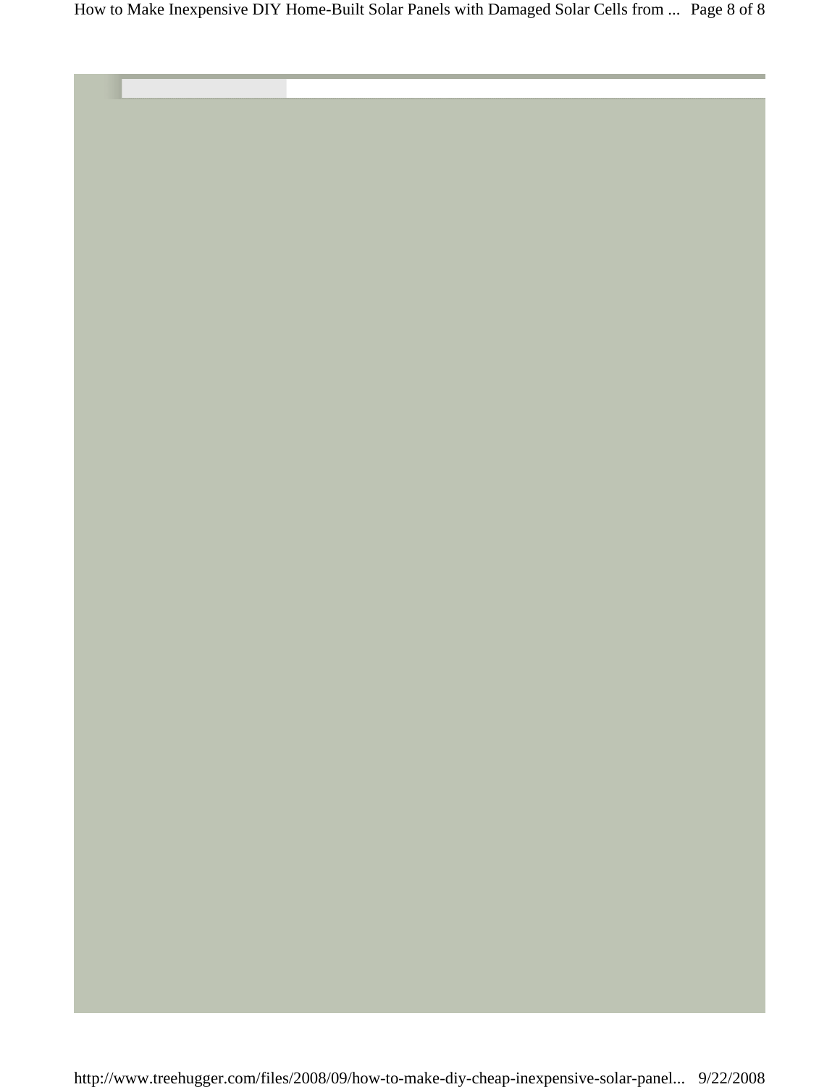How to Make Inexpensive DIY Home-Built Solar Panels with Damaged Solar Cells from ... Page 8 of 8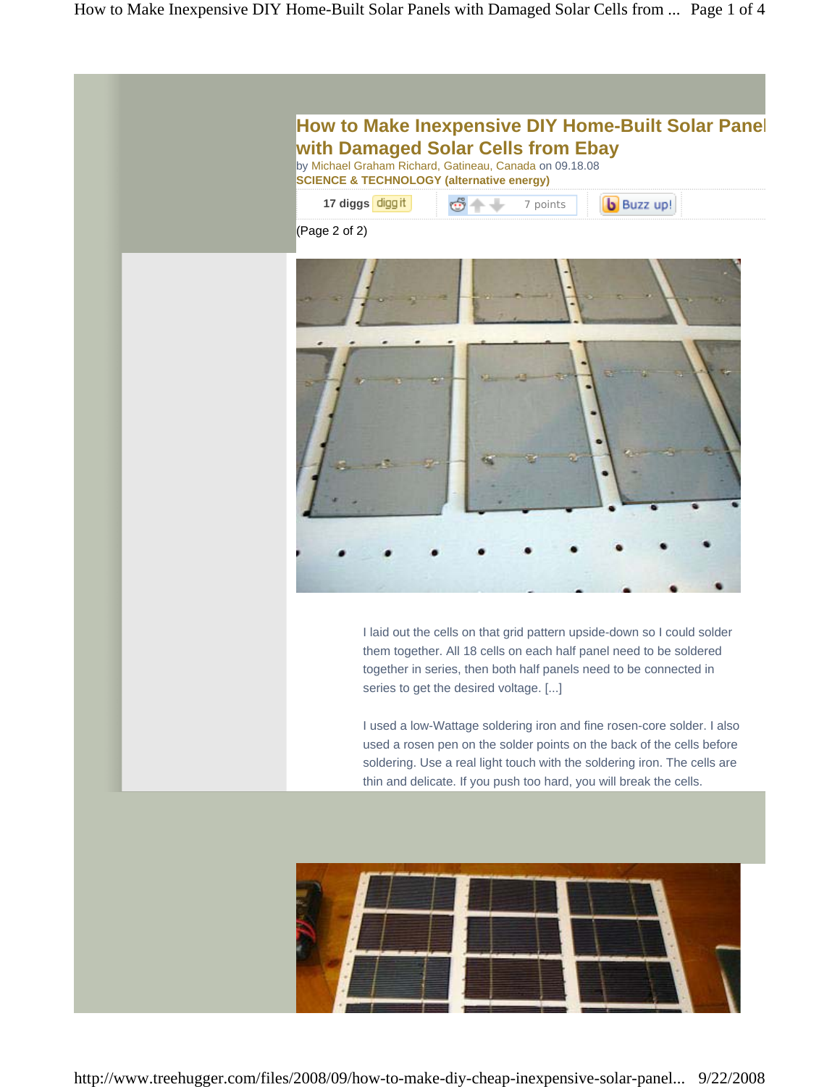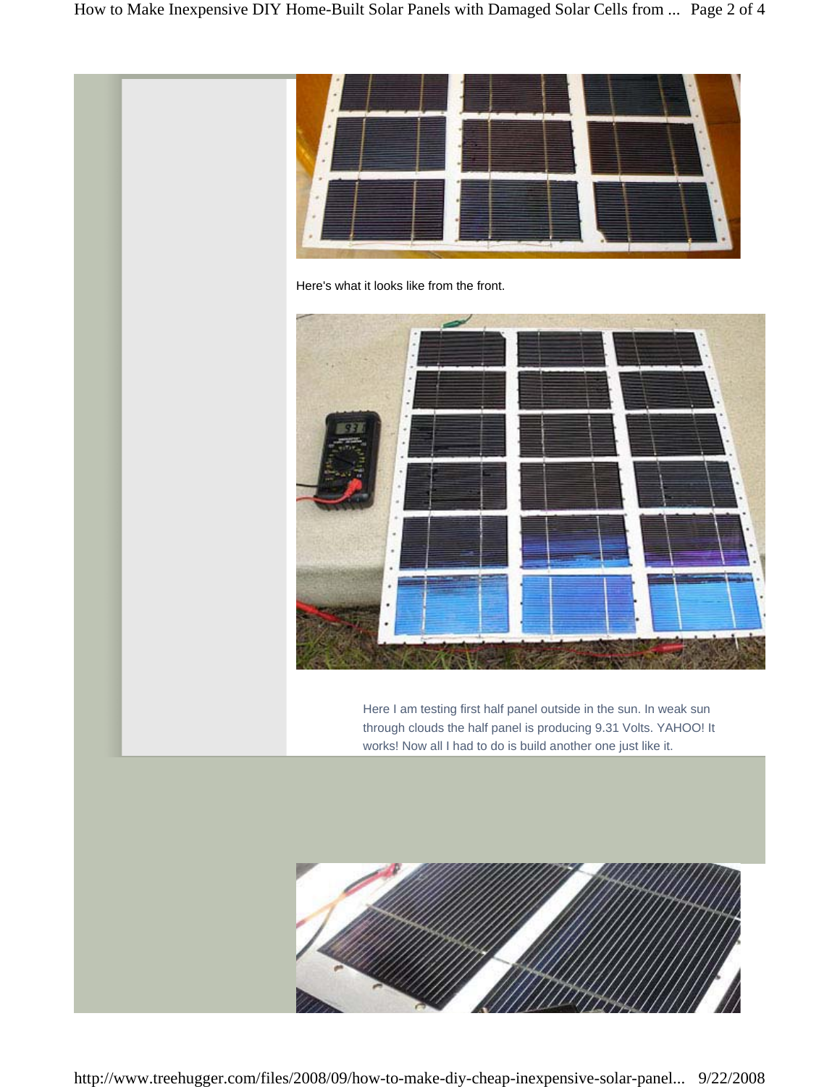

Here's what it looks like from the front.



Here I am testing first half panel outside in the sun. In weak sun through clouds the half panel is producing 9.31 Volts. YAHOO! It works! Now all I had to do is build another one just like it.



http://www.treehugger.com/files/2008/09/how-to-make-diy-cheap-inexpensive-solar-panel... 9/22/2008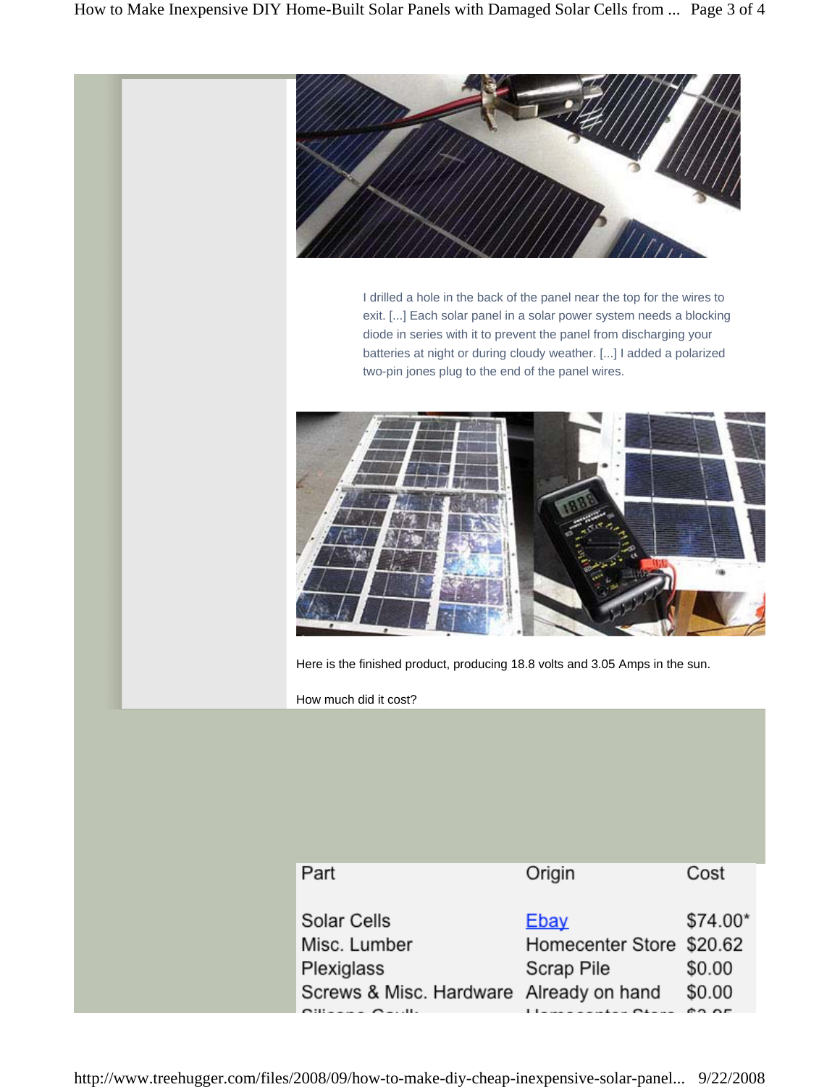

I drilled a hole in the back of the panel near the top for the wires to exit. [...] Each solar panel in a solar power system needs a blocking diode in series with it to prevent the panel from discharging your batteries at night or during cloudy weather. [...] I added a polarized two-pin jones plug to the end of the panel wires.



Here is the finished product, producing 18.8 volts and 3.05 Amps in the sun.

How much did it cost?

| Part                                    | Origin                   | Cost     |
|-----------------------------------------|--------------------------|----------|
| Solar Cells                             | Ebay                     | \$74.00* |
| Misc. Lumber                            | Homecenter Store \$20.62 |          |
| Plexiglass                              | Scrap Pile               | \$0.00   |
| Screws & Misc. Hardware Already on hand |                          | \$0.00   |
| $0.99 - 0.62 - 0.00$                    |                          |          |

http://www.treehugger.com/files/2008/09/how-to-make-diy-cheap-inexpensive-solar-panel... 9/22/2008